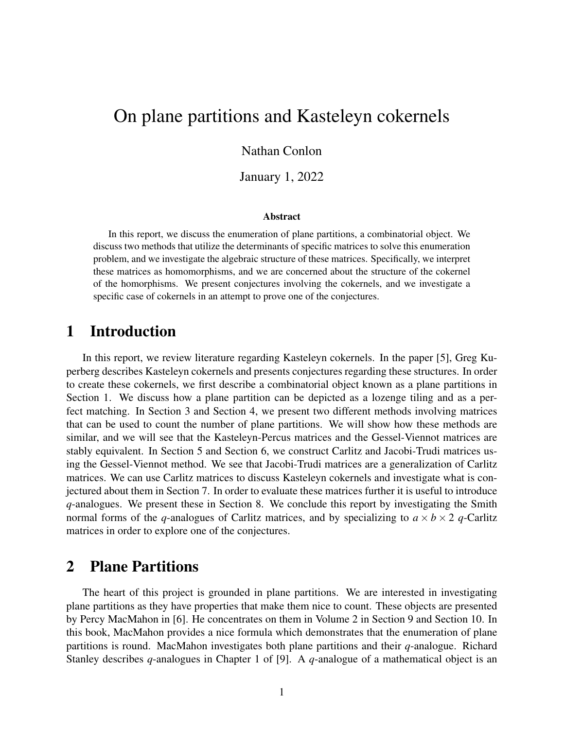## On plane partitions and Kasteleyn cokernels

#### Nathan Conlon

January 1, 2022

#### Abstract

In this report, we discuss the enumeration of plane partitions, a combinatorial object. We discuss two methods that utilize the determinants of specific matrices to solve this enumeration problem, and we investigate the algebraic structure of these matrices. Specifically, we interpret these matrices as homomorphisms, and we are concerned about the structure of the cokernel of the homorphisms. We present conjectures involving the cokernels, and we investigate a specific case of cokernels in an attempt to prove one of the conjectures.

#### 1 Introduction

In this report, we review literature regarding Kasteleyn cokernels. In the paper [5], Greg Kuperberg describes Kasteleyn cokernels and presents conjectures regarding these structures. In order to create these cokernels, we first describe a combinatorial object known as a plane partitions in Section 1. We discuss how a plane partition can be depicted as a lozenge tiling and as a perfect matching. In Section 3 and Section 4, we present two different methods involving matrices that can be used to count the number of plane partitions. We will show how these methods are similar, and we will see that the Kasteleyn-Percus matrices and the Gessel-Viennot matrices are stably equivalent. In Section 5 and Section 6, we construct Carlitz and Jacobi-Trudi matrices using the Gessel-Viennot method. We see that Jacobi-Trudi matrices are a generalization of Carlitz matrices. We can use Carlitz matrices to discuss Kasteleyn cokernels and investigate what is conjectured about them in Section 7. In order to evaluate these matrices further it is useful to introduce *q*-analogues. We present these in Section 8. We conclude this report by investigating the Smith normal forms of the *q*-analogues of Carlitz matrices, and by specializing to  $a \times b \times 2$  *q*-Carlitz matrices in order to explore one of the conjectures.

#### 2 Plane Partitions

The heart of this project is grounded in plane partitions. We are interested in investigating plane partitions as they have properties that make them nice to count. These objects are presented by Percy MacMahon in [6]. He concentrates on them in Volume 2 in Section 9 and Section 10. In this book, MacMahon provides a nice formula which demonstrates that the enumeration of plane partitions is round. MacMahon investigates both plane partitions and their *q*-analogue. Richard Stanley describes *q*-analogues in Chapter 1 of [9]. A *q*-analogue of a mathematical object is an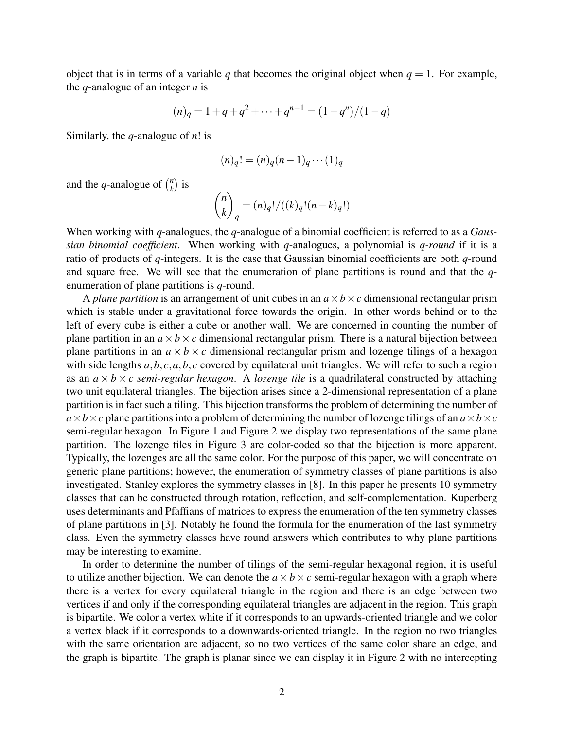object that is in terms of a variable *q* that becomes the original object when  $q = 1$ . For example, the *q*-analogue of an integer *n* is

$$
(n)q = 1 + q + q2 + \dots + qn-1 = (1 - qn)/(1 - q)
$$

Similarly, the *q*-analogue of *n*! is

$$
(n)_q! = (n)_q (n-1)_q \cdots (1)_q
$$

and the *q*-analogue of  $\binom{n}{k}$  $\binom{n}{k}$  is

$$
\binom{n}{k}_q = (n)_q! / ((k)_q! (n-k)_q!)
$$

When working with *q*-analogues, the *q*-analogue of a binomial coefficient is referred to as a *Gaussian binomial coefficient*. When working with *q*-analogues, a polynomial is *q-round* if it is a ratio of products of *q*-integers. It is the case that Gaussian binomial coefficients are both *q*-round and square free. We will see that the enumeration of plane partitions is round and that the *q*enumeration of plane partitions is *q*-round.

A *plane partition* is an arrangement of unit cubes in an  $a \times b \times c$  dimensional rectangular prism which is stable under a gravitational force towards the origin. In other words behind or to the left of every cube is either a cube or another wall. We are concerned in counting the number of plane partition in an  $a \times b \times c$  dimensional rectangular prism. There is a natural bijection between plane partitions in an  $a \times b \times c$  dimensional rectangular prism and lozenge tilings of a hexagon with side lengths  $a, b, c, a, b, c$  covered by equilateral unit triangles. We will refer to such a region as an  $a \times b \times c$  *semi-regular hexagon.* A *lozenge tile* is a quadrilateral constructed by attaching two unit equilateral triangles. The bijection arises since a 2-dimensional representation of a plane partition is in fact such a tiling. This bijection transforms the problem of determining the number of  $a \times b \times c$  plane partitions into a problem of determining the number of lozenge tilings of an  $a \times b \times c$ semi-regular hexagon. In Figure 1 and Figure 2 we display two representations of the same plane partition. The lozenge tiles in Figure 3 are color-coded so that the bijection is more apparent. Typically, the lozenges are all the same color. For the purpose of this paper, we will concentrate on generic plane partitions; however, the enumeration of symmetry classes of plane partitions is also investigated. Stanley explores the symmetry classes in [8]. In this paper he presents 10 symmetry classes that can be constructed through rotation, reflection, and self-complementation. Kuperberg uses determinants and Pfaffians of matrices to express the enumeration of the ten symmetry classes of plane partitions in [3]. Notably he found the formula for the enumeration of the last symmetry class. Even the symmetry classes have round answers which contributes to why plane partitions may be interesting to examine.

In order to determine the number of tilings of the semi-regular hexagonal region, it is useful to utilize another bijection. We can denote the  $a \times b \times c$  semi-regular hexagon with a graph where there is a vertex for every equilateral triangle in the region and there is an edge between two vertices if and only if the corresponding equilateral triangles are adjacent in the region. This graph is bipartite. We color a vertex white if it corresponds to an upwards-oriented triangle and we color a vertex black if it corresponds to a downwards-oriented triangle. In the region no two triangles with the same orientation are adjacent, so no two vertices of the same color share an edge, and the graph is bipartite. The graph is planar since we can display it in Figure 2 with no intercepting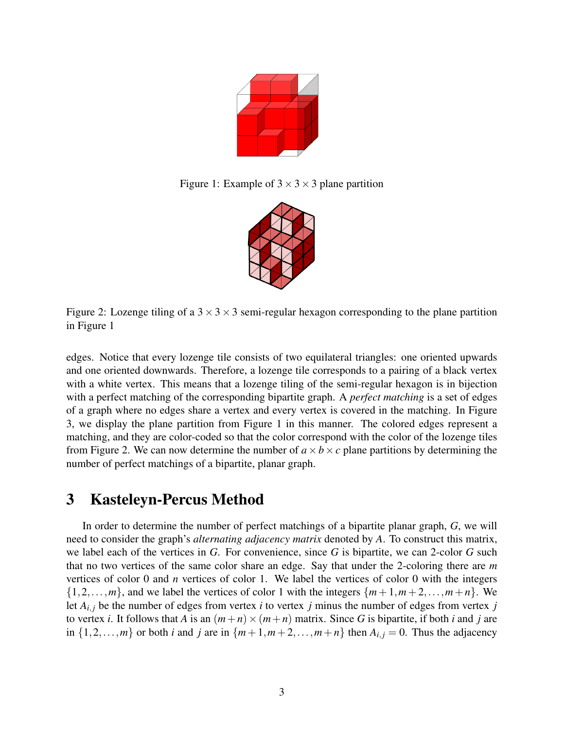

Figure 1: Example of  $3 \times 3 \times 3$  plane partition



Figure 2: Lozenge tiling of a  $3 \times 3 \times 3$  semi-regular hexagon corresponding to the plane partition in Figure 1

edges. Notice that every lozenge tile consists of two equilateral triangles: one oriented upwards and one oriented downwards. Therefore, a lozenge tile corresponds to a pairing of a black vertex with a white vertex. This means that a lozenge tiling of the semi-regular hexagon is in bijection with a perfect matching of the corresponding bipartite graph. A *perfect matching* is a set of edges of a graph where no edges share a vertex and every vertex is covered in the matching. In Figure 3, we display the plane partition from Figure 1 in this manner. The colored edges represent a matching, and they are color-coded so that the color correspond with the color of the lozenge tiles from Figure 2. We can now determine the number of  $a \times b \times c$  plane partitions by determining the number of perfect matchings of a bipartite, planar graph.

### 3 Kasteleyn-Percus Method

In order to determine the number of perfect matchings of a bipartite planar graph, *G*, we will need to consider the graph's *alternating adjacency matrix* denoted by *A*. To construct this matrix, we label each of the vertices in *G*. For convenience, since *G* is bipartite, we can 2-color *G* such that no two vertices of the same color share an edge. Say that under the 2-coloring there are *m* vertices of color 0 and *n* vertices of color 1. We label the vertices of color 0 with the integers  $\{1,2,\ldots,m\}$ , and we label the vertices of color 1 with the integers  $\{m+1,m+2,\ldots,m+n\}$ . We let  $A_{i,j}$  be the number of edges from vertex *i* to vertex *j* minus the number of edges from vertex *j* to vertex *i*. It follows that *A* is an  $(m+n) \times (m+n)$  matrix. Since *G* is bipartite, if both *i* and *j* are in  $\{1,2,\ldots,m\}$  or both *i* and *j* are in  $\{m+1,m+2,\ldots,m+n\}$  then  $A_{i,j}=0$ . Thus the adjacency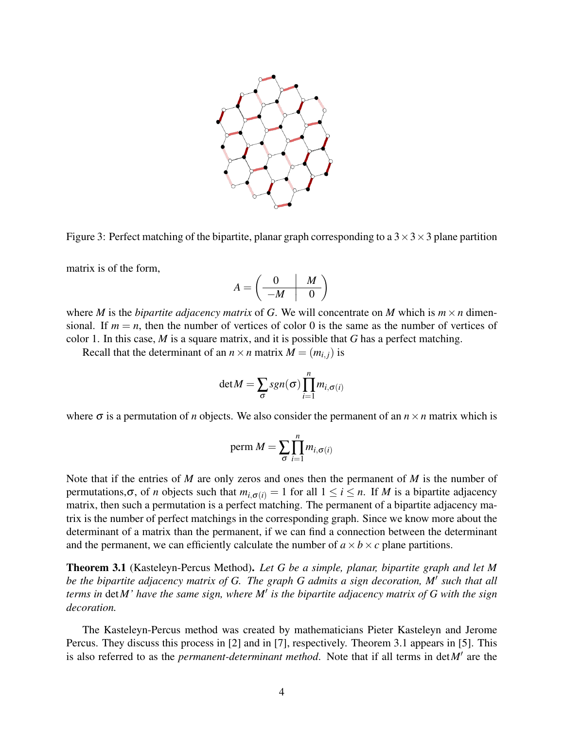

Figure 3: Perfect matching of the bipartite, planar graph corresponding to a  $3 \times 3 \times 3$  plane partition

matrix is of the form,

$$
A = \left(\begin{array}{c|c} 0 & M \\ \hline -M & 0 \end{array}\right)
$$

where *M* is the *bipartite adjacency matrix* of *G*. We will concentrate on *M* which is  $m \times n$  dimensional. If  $m = n$ , then the number of vertices of color 0 is the same as the number of vertices of color 1. In this case, *M* is a square matrix, and it is possible that *G* has a perfect matching.

Recall that the determinant of an  $n \times n$  matrix  $M = (m_{i,j})$  is

$$
\det M = \sum_{\sigma} sgn(\sigma) \prod_{i=1}^{n} m_{i,\sigma(i)}
$$

where  $\sigma$  is a permutation of *n* objects. We also consider the permanent of an  $n \times n$  matrix which is

perm 
$$
M = \sum_{\sigma} \prod_{i=1}^{n} m_{i,\sigma(i)}
$$

Note that if the entries of *M* are only zeros and ones then the permanent of *M* is the number of permutations, $\sigma$ , of *n* objects such that  $m_{i,\sigma(i)} = 1$  for all  $1 \le i \le n$ . If *M* is a bipartite adjacency matrix, then such a permutation is a perfect matching. The permanent of a bipartite adjacency matrix is the number of perfect matchings in the corresponding graph. Since we know more about the determinant of a matrix than the permanent, if we can find a connection between the determinant and the permanent, we can efficiently calculate the number of  $a \times b \times c$  plane partitions.

Theorem 3.1 (Kasteleyn-Percus Method). *Let G be a simple, planar, bipartite graph and let M be the bipartite adjacency matrix of G. The graph G admits a sign decoration, M*′ *such that all terms in* det*M' have the same sign, where M*′ *is the bipartite adjacency matrix of G with the sign decoration.*

The Kasteleyn-Percus method was created by mathematicians Pieter Kasteleyn and Jerome Percus. They discuss this process in [2] and in [7], respectively. Theorem 3.1 appears in [5]. This is also referred to as the *permanent-determinant method*. Note that if all terms in det*M*′ are the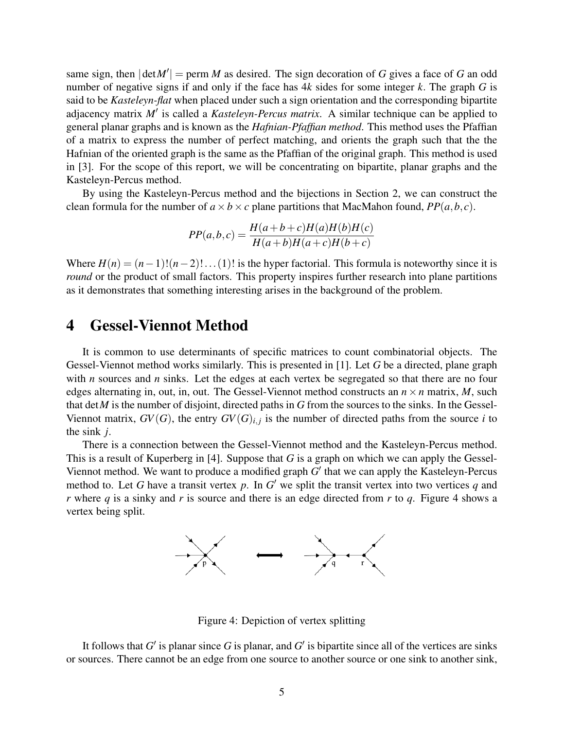same sign, then  $|\det M'|$  = perm *M* as desired. The sign decoration of *G* gives a face of *G* an odd number of negative signs if and only if the face has 4*k* sides for some integer *k*. The graph *G* is said to be *Kasteleyn-flat* when placed under such a sign orientation and the corresponding bipartite adjacency matrix *M*′ is called a *Kasteleyn-Percus matrix*. A similar technique can be applied to general planar graphs and is known as the *Hafnian-Pfaffian method*. This method uses the Pfaffian of a matrix to express the number of perfect matching, and orients the graph such that the the Hafnian of the oriented graph is the same as the Pfaffian of the original graph. This method is used in [3]. For the scope of this report, we will be concentrating on bipartite, planar graphs and the Kasteleyn-Percus method.

By using the Kasteleyn-Percus method and the bijections in Section 2, we can construct the clean formula for the number of  $a \times b \times c$  plane partitions that MacMahon found,  $PP(a, b, c)$ .

$$
PP(a,b,c) = \frac{H(a+b+c)H(a)H(b)H(c)}{H(a+b)H(a+c)H(b+c)}
$$

Where  $H(n) = (n-1)!(n-2)!\dots(1)!$  is the hyper factorial. This formula is noteworthy since it is *round* or the product of small factors. This property inspires further research into plane partitions as it demonstrates that something interesting arises in the background of the problem.

#### 4 Gessel-Viennot Method

It is common to use determinants of specific matrices to count combinatorial objects. The Gessel-Viennot method works similarly. This is presented in [1]. Let *G* be a directed, plane graph with *n* sources and *n* sinks. Let the edges at each vertex be segregated so that there are no four edges alternating in, out, in, out. The Gessel-Viennot method constructs an  $n \times n$  matrix, *M*, such that det*M* is the number of disjoint, directed paths in *G* from the sources to the sinks. In the Gessel-Viennot matrix,  $GV(G)$ , the entry  $GV(G)_{i,j}$  is the number of directed paths from the source *i* to the sink *j*.

There is a connection between the Gessel-Viennot method and the Kasteleyn-Percus method. This is a result of Kuperberg in [4]. Suppose that *G* is a graph on which we can apply the Gessel-Viennot method. We want to produce a modified graph *G'* that we can apply the Kasteleyn-Percus method to. Let *G* have a transit vertex  $p$ . In  $G'$  we split the transit vertex into two vertices  $q$  and *r* where *q* is a sinky and *r* is source and there is an edge directed from *r* to *q*. Figure 4 shows a vertex being split.



Figure 4: Depiction of vertex splitting

It follows that  $G'$  is planar since  $G$  is planar, and  $G'$  is bipartite since all of the vertices are sinks or sources. There cannot be an edge from one source to another source or one sink to another sink,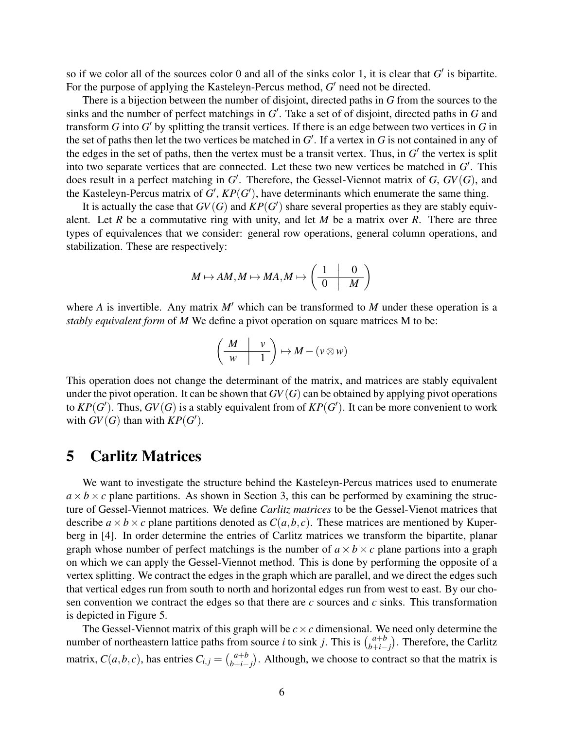so if we color all of the sources color 0 and all of the sinks color 1, it is clear that  $G'$  is bipartite. For the purpose of applying the Kasteleyn-Percus method, G' need not be directed.

There is a bijection between the number of disjoint, directed paths in *G* from the sources to the sinks and the number of perfect matchings in *G* ′ . Take a set of of disjoint, directed paths in *G* and transform *G* into *G* ′ by splitting the transit vertices. If there is an edge between two vertices in *G* in the set of paths then let the two vertices be matched in *G* ′ . If a vertex in *G* is not contained in any of the edges in the set of paths, then the vertex must be a transit vertex. Thus, in  $G'$  the vertex is split into two separate vertices that are connected. Let these two new vertices be matched in *G* ′ . This does result in a perfect matching in *G* ′ . Therefore, the Gessel-Viennot matrix of *G*, *GV*(*G*), and the Kasteleyn-Percus matrix of  $G'$ ,  $KP(G')$ , have determinants which enumerate the same thing.

It is actually the case that  $GV(G)$  and  $KP(G')$  share several properties as they are stably equivalent. Let *R* be a commutative ring with unity, and let *M* be a matrix over *R*. There are three types of equivalences that we consider: general row operations, general column operations, and stabilization. These are respectively:

$$
M \mapsto AM, M \mapsto MA, M \mapsto \left(\begin{array}{c|c} 1 & 0 \\ \hline 0 & M \end{array}\right)
$$

where *A* is invertible. Any matrix *M*′ which can be transformed to *M* under these operation is a *stably equivalent form* of *M* We define a pivot operation on square matrices M to be:

$$
\left(\begin{array}{c|c} M & v \\ \hline w & 1 \end{array}\right) \mapsto M - (\nu \otimes w)
$$

This operation does not change the determinant of the matrix, and matrices are stably equivalent under the pivot operation. It can be shown that  $GV(G)$  can be obtained by applying pivot operations to  $\mathit{KP}(G')$ . Thus,  $\mathit{GV}(G)$  is a stably equivalent from of  $\mathit{KP}(G')$ . It can be more convenient to work with  $GV(G)$  than with  $KP(G')$ .

#### 5 Carlitz Matrices

We want to investigate the structure behind the Kasteleyn-Percus matrices used to enumerate  $a \times b \times c$  plane partitions. As shown in Section 3, this can be performed by examining the structure of Gessel-Viennot matrices. We define *Carlitz matrices* to be the Gessel-Vienot matrices that describe  $a \times b \times c$  plane partitions denoted as  $C(a, b, c)$ . These matrices are mentioned by Kuperberg in [4]. In order determine the entries of Carlitz matrices we transform the bipartite, planar graph whose number of perfect matchings is the number of  $a \times b \times c$  plane partions into a graph on which we can apply the Gessel-Viennot method. This is done by performing the opposite of a vertex splitting. We contract the edges in the graph which are parallel, and we direct the edges such that vertical edges run from south to north and horizontal edges run from west to east. By our chosen convention we contract the edges so that there are *c* sources and *c* sinks. This transformation is depicted in Figure 5.

The Gessel-Viennot matrix of this graph will be  $c \times c$  dimensional. We need only determine the number of northeastern lattice paths from source *i* to sink *j*. This is  $\binom{a+b}{b+c}$  $\binom{a+b}{b+i-j}$ . Therefore, the Carlitz matrix,  $C(a, b, c)$ , has entries  $C_{i,j} = \binom{a+b}{b+i}$  $\binom{a+b}{b+i-j}$ . Although, we choose to contract so that the matrix is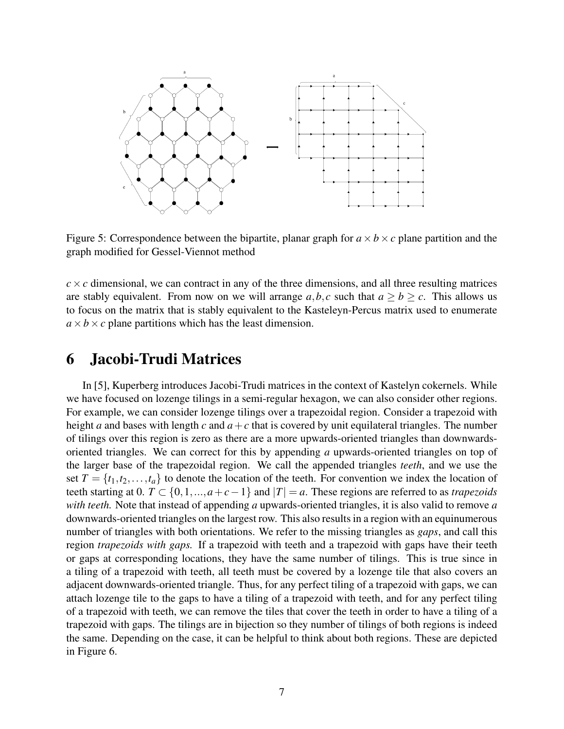

Figure 5: Correspondence between the bipartite, planar graph for  $a \times b \times c$  plane partition and the graph modified for Gessel-Viennot method

 $c \times c$  dimensional, we can contract in any of the three dimensions, and all three resulting matrices are stably equivalent. From now on we will arrange  $a, b, c$  such that  $a \ge b \ge c$ . This allows us to focus on the matrix that is stably equivalent to the Kasteleyn-Percus matrix used to enumerate  $a \times b \times c$  plane partitions which has the least dimension.

#### 6 Jacobi-Trudi Matrices

In [5], Kuperberg introduces Jacobi-Trudi matrices in the context of Kastelyn cokernels. While we have focused on lozenge tilings in a semi-regular hexagon, we can also consider other regions. For example, we can consider lozenge tilings over a trapezoidal region. Consider a trapezoid with height *a* and bases with length *c* and  $a + c$  that is covered by unit equilateral triangles. The number of tilings over this region is zero as there are a more upwards-oriented triangles than downwardsoriented triangles. We can correct for this by appending *a* upwards-oriented triangles on top of the larger base of the trapezoidal region. We call the appended triangles *teeth*, and we use the set  $T = \{t_1, t_2, \ldots, t_a\}$  to denote the location of the teeth. For convention we index the location of teeth starting at 0.  $T \subset \{0, 1, ..., a+c-1\}$  and  $|T| = a$ . These regions are referred to as *trapezoids with teeth.* Note that instead of appending *a* upwards-oriented triangles, it is also valid to remove *a* downwards-oriented triangles on the largest row. This also results in a region with an equinumerous number of triangles with both orientations. We refer to the missing triangles as *gaps*, and call this region *trapezoids with gaps.* If a trapezoid with teeth and a trapezoid with gaps have their teeth or gaps at corresponding locations, they have the same number of tilings. This is true since in a tiling of a trapezoid with teeth, all teeth must be covered by a lozenge tile that also covers an adjacent downwards-oriented triangle. Thus, for any perfect tiling of a trapezoid with gaps, we can attach lozenge tile to the gaps to have a tiling of a trapezoid with teeth, and for any perfect tiling of a trapezoid with teeth, we can remove the tiles that cover the teeth in order to have a tiling of a trapezoid with gaps. The tilings are in bijection so they number of tilings of both regions is indeed the same. Depending on the case, it can be helpful to think about both regions. These are depicted in Figure 6.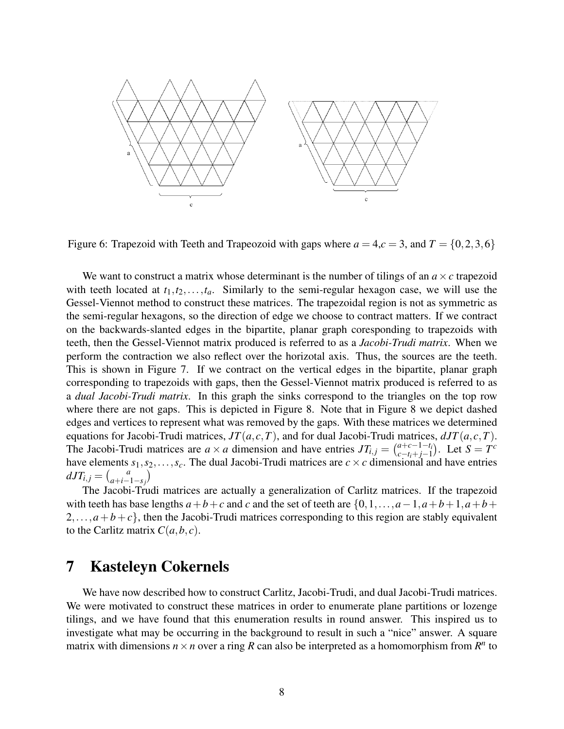

Figure 6: Trapezoid with Teeth and Trapeozoid with gaps where  $a = 4, c = 3$ , and  $T = \{0, 2, 3, 6\}$ 

We want to construct a matrix whose determinant is the number of tilings of an  $a \times c$  trapezoid with teeth located at  $t_1, t_2, \ldots, t_a$ . Similarly to the semi-regular hexagon case, we will use the Gessel-Viennot method to construct these matrices. The trapezoidal region is not as symmetric as the semi-regular hexagons, so the direction of edge we choose to contract matters. If we contract on the backwards-slanted edges in the bipartite, planar graph coresponding to trapezoids with teeth, then the Gessel-Viennot matrix produced is referred to as a *Jacobi-Trudi matrix*. When we perform the contraction we also reflect over the horizotal axis. Thus, the sources are the teeth. This is shown in Figure 7. If we contract on the vertical edges in the bipartite, planar graph corresponding to trapezoids with gaps, then the Gessel-Viennot matrix produced is referred to as a *dual Jacobi-Trudi matrix*. In this graph the sinks correspond to the triangles on the top row where there are not gaps. This is depicted in Figure 8. Note that in Figure 8 we depict dashed edges and vertices to represent what was removed by the gaps. With these matrices we determined equations for Jacobi-Trudi matrices,  $JT(a, c, T)$ , and for dual Jacobi-Trudi matrices,  $dJT(a, c, T)$ . The Jacobi-Trudi matrices are  $a \times a$  dimension and have entries  $JT_{i,j} = \begin{pmatrix} a+c-1-t_i \\ c-t_i+i-1 \end{pmatrix}$  $_{c-t_i+j-1}^{a+c-1-t_i}$ . Let *S* = *T*<sup>*c*</sup> have elements  $s_1, s_2, \ldots, s_c$ . The dual Jacobi-Trudi matrices are  $c \times c$  dimensional and have entries  $dJT_{i,j} = \begin{pmatrix} a \\ a+i \end{pmatrix}$  $\binom{a}{a+i-1-s_j}$ 

The Jacobi-Trudi matrices are actually a generalization of Carlitz matrices. If the trapezoid with teeth has base lengths  $a+b+c$  and *c* and the set of teeth are  $\{0,1,\ldots,a-1,a+b+1,a+b+c\}$  $2, \ldots, a+b+c$ , then the Jacobi-Trudi matrices corresponding to this region are stably equivalent to the Carlitz matrix  $C(a, b, c)$ .

#### 7 Kasteleyn Cokernels

We have now described how to construct Carlitz, Jacobi-Trudi, and dual Jacobi-Trudi matrices. We were motivated to construct these matrices in order to enumerate plane partitions or lozenge tilings, and we have found that this enumeration results in round answer. This inspired us to investigate what may be occurring in the background to result in such a "nice" answer. A square matrix with dimensions  $n \times n$  over a ring R can also be interpreted as a homomorphism from  $R^n$  to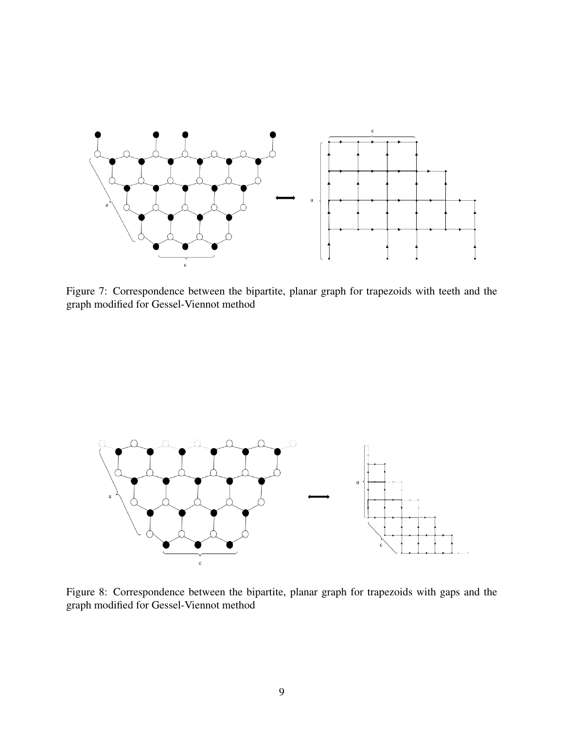

Figure 7: Correspondence between the bipartite, planar graph for trapezoids with teeth and the graph modified for Gessel-Viennot method

![](_page_8_Figure_2.jpeg)

Figure 8: Correspondence between the bipartite, planar graph for trapezoids with gaps and the graph modified for Gessel-Viennot method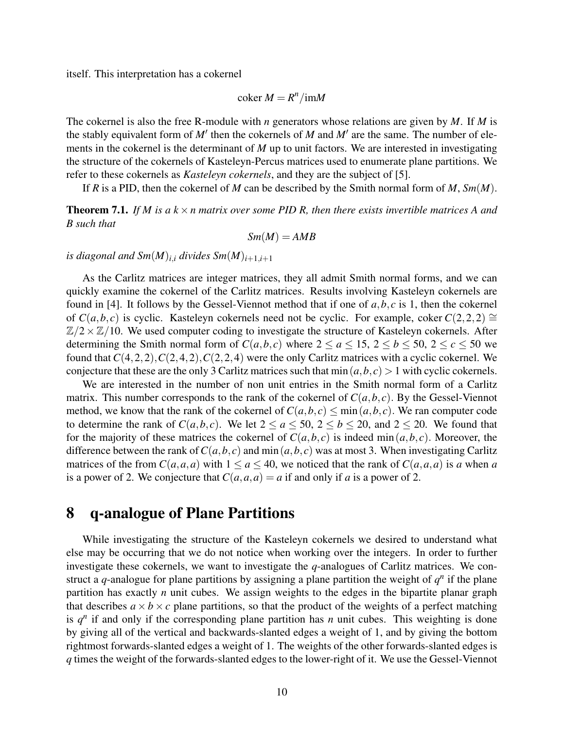itself. This interpretation has a cokernel

$$
\operatorname{coker} M = R^n / \operatorname{im} M
$$

The cokernel is also the free R-module with *n* generators whose relations are given by *M*. If *M* is the stably equivalent form of  $M'$  then the cokernels of  $M$  and  $M'$  are the same. The number of elements in the cokernel is the determinant of *M* up to unit factors. We are interested in investigating the structure of the cokernels of Kasteleyn-Percus matrices used to enumerate plane partitions. We refer to these cokernels as *Kasteleyn cokernels*, and they are the subject of [5].

If *R* is a PID, then the cokernel of *M* can be described by the Smith normal form of *M*, *Sm*(*M*).

**Theorem 7.1.** If M is a  $k \times n$  matrix over some PID R, then there exists invertible matrices A and *B such that*

$$
Sm(M)=AMB
$$

*is diagonal and Sm* $(M)_{i,i}$  *divides Sm* $(M)_{i+1,i+1}$ 

As the Carlitz matrices are integer matrices, they all admit Smith normal forms, and we can quickly examine the cokernel of the Carlitz matrices. Results involving Kasteleyn cokernels are found in [4]. It follows by the Gessel-Viennot method that if one of *a*,*b*, *c* is 1, then the cokernel of *C*(*a*,*b*,*c*) is cyclic. Kasteleyn cokernels need not be cyclic. For example, coker *C*(2,2,2) ≅  $\mathbb{Z}/2 \times \mathbb{Z}/10$ . We used computer coding to investigate the structure of Kasteleyn cokernels. After determining the Smith normal form of  $C(a,b,c)$  where  $2 \le a \le 15$ ,  $2 \le b \le 50$ ,  $2 \le c \le 50$  we found that *C*(4,2,2),*C*(2,4,2),*C*(2,2,4) were the only Carlitz matrices with a cyclic cokernel. We conjecture that these are the only 3 Carlitz matrices such that  $\min(a, b, c) > 1$  with cyclic cokernels.

We are interested in the number of non unit entries in the Smith normal form of a Carlitz matrix. This number corresponds to the rank of the cokernel of  $C(a, b, c)$ . By the Gessel-Viennot method, we know that the rank of the cokernel of  $C(a, b, c) \le \min(a, b, c)$ . We ran computer code to determine the rank of  $C(a,b,c)$ . We let  $2 \le a \le 50$ ,  $2 \le b \le 20$ , and  $2 \le 20$ . We found that for the majority of these matrices the cokernel of  $C(a,b,c)$  is indeed min $(a,b,c)$ . Moreover, the difference between the rank of  $C(a, b, c)$  and min $(a, b, c)$  was at most 3. When investigating Carlitz matrices of the from  $C(a, a, a)$  with  $1 \le a \le 40$ , we noticed that the rank of  $C(a, a, a)$  is *a* when *a* is a power of 2. We conjecture that  $C(a, a, a) = a$  if and only if *a* is a power of 2.

#### 8 q-analogue of Plane Partitions

While investigating the structure of the Kasteleyn cokernels we desired to understand what else may be occurring that we do not notice when working over the integers. In order to further investigate these cokernels, we want to investigate the *q*-analogues of Carlitz matrices. We construct a *q*-analogue for plane partitions by assigning a plane partition the weight of  $q^n$  if the plane partition has exactly *n* unit cubes. We assign weights to the edges in the bipartite planar graph that describes  $a \times b \times c$  plane partitions, so that the product of the weights of a perfect matching is  $q<sup>n</sup>$  if and only if the corresponding plane partition has *n* unit cubes. This weighting is done by giving all of the vertical and backwards-slanted edges a weight of 1, and by giving the bottom rightmost forwards-slanted edges a weight of 1. The weights of the other forwards-slanted edges is *q* times the weight of the forwards-slanted edges to the lower-right of it. We use the Gessel-Viennot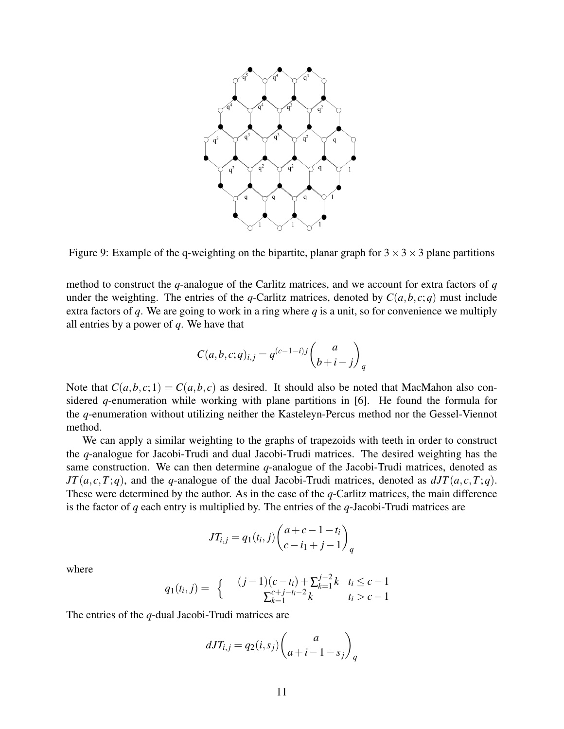![](_page_10_Figure_0.jpeg)

Figure 9: Example of the q-weighting on the bipartite, planar graph for  $3 \times 3 \times 3$  plane partitions

method to construct the *q*-analogue of the Carlitz matrices, and we account for extra factors of *q* under the weighting. The entries of the *q*-Carlitz matrices, denoted by  $C(a, b, c; q)$  must include extra factors of *q*. We are going to work in a ring where *q* is a unit, so for convenience we multiply all entries by a power of *q*. We have that

$$
C(a,b,c;q)_{i,j} = q^{(c-1-i)j} \binom{a}{b+i-j}_q
$$

Note that  $C(a, b, c; 1) = C(a, b, c)$  as desired. It should also be noted that MacMahon also considered *q*-enumeration while working with plane partitions in [6]. He found the formula for the *q*-enumeration without utilizing neither the Kasteleyn-Percus method nor the Gessel-Viennot method.

We can apply a similar weighting to the graphs of trapezoids with teeth in order to construct the *q*-analogue for Jacobi-Trudi and dual Jacobi-Trudi matrices. The desired weighting has the same construction. We can then determine *q*-analogue of the Jacobi-Trudi matrices, denoted as *JT*( $a, c, T; q$ ), and the *q*-analogue of the dual Jacobi-Trudi matrices, denoted as  $dJT(a, c, T; q)$ . These were determined by the author. As in the case of the *q*-Carlitz matrices, the main difference is the factor of *q* each entry is multiplied by. The entries of the *q*-Jacobi-Trudi matrices are

$$
JT_{i,j} = q_1(t_i, j) \binom{a+c-1-t_i}{c-i_1+j-1}_q
$$

where

$$
q_1(t_i, j) = \begin{cases} (j-1)(c-t_i) + \sum_{k=1}^{j-2} k & t_i \leq c-1\\ \sum_{k=1}^{c+j-t_i-2} k & t_i > c-1 \end{cases}
$$

The entries of the *q*-dual Jacobi-Trudi matrices are

$$
dJT_{i,j} = q_2(i,s_j) \binom{a}{a+i-1-s_j}_q
$$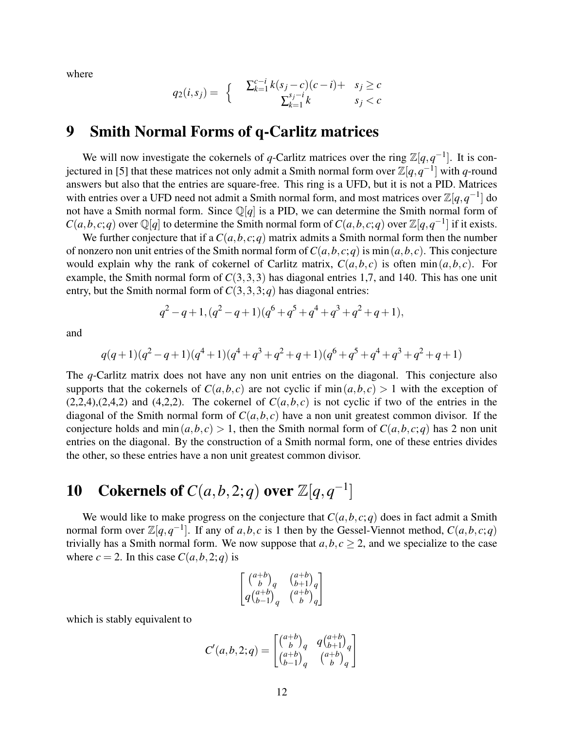where

$$
q_2(i, s_j) = \begin{cases} & \sum_{k=1}^{c-i} k(s_j - c)(c - i) + s_j \ge c \\ & \sum_{k=1}^{s_j - i} k \end{cases}
$$

#### 9 Smith Normal Forms of q-Carlitz matrices

We will now investigate the cokernels of *q*-Carlitz matrices over the ring  $\mathbb{Z}[q, q^{-1}]$ . It is conjectured in [5] that these matrices not only admit a Smith normal form over  $\mathbb{Z}[q,q^{-1}]$  with *q*-round answers but also that the entries are square-free. This ring is a UFD, but it is not a PID. Matrices with entries over a UFD need not admit a Smith normal form, and most matrices over  $\mathbb{Z}[q,q^{-1}]$  do not have a Smith normal form. Since Q[*q*] is a PID, we can determine the Smith normal form of  $C(a,b,c;q)$  over  $\mathbb{Q}[q]$  to determine the Smith normal form of  $C(a,b,c;q)$  over  $\mathbb{Z}[q,q^{-1}]$  if it exists.

We further conjecture that if a  $C(a, b, c; q)$  matrix admits a Smith normal form then the number of nonzero non unit entries of the Smith normal form of  $C(a, b, c; q)$  is min $(a, b, c)$ . This conjecture would explain why the rank of cokernel of Carlitz matrix,  $C(a, b, c)$  is often min $(a, b, c)$ . For example, the Smith normal form of  $C(3,3,3)$  has diagonal entries 1,7, and 140. This has one unit entry, but the Smith normal form of  $C(3,3,3;q)$  has diagonal entries:

$$
q^2 - q + 1, (q^2 - q + 1)(q^6 + q^5 + q^4 + q^3 + q^2 + q + 1),
$$

and

$$
q(q+1)(q^2-q+1)(q^4+1)(q^4+q^3+q^2+q+1)(q^6+q^5+q^4+q^3+q^2+q+1)
$$

The *q*-Carlitz matrix does not have any non unit entries on the diagonal. This conjecture also supports that the cokernels of  $C(a,b,c)$  are not cyclic if  $\min(a,b,c) > 1$  with the exception of  $(2,2,4),(2,4,2)$  and  $(4,2,2)$ . The cokernel of  $C(a,b,c)$  is not cyclic if two of the entries in the diagonal of the Smith normal form of  $C(a, b, c)$  have a non unit greatest common divisor. If the conjecture holds and min $(a,b,c) > 1$ , then the Smith normal form of  $C(a,b,c;q)$  has 2 non unit entries on the diagonal. By the construction of a Smith normal form, one of these entries divides the other, so these entries have a non unit greatest common divisor.

# 10 Cokernels of  $C(a, b, 2; q)$  over  $\mathbb{Z}[q, q^{-1}]$

We would like to make progress on the conjecture that  $C(a, b, c; q)$  does in fact admit a Smith normal form over  $\mathbb{Z}[q,q^{-1}]$ . If any of *a*,*b*, *c* is 1 then by the Gessel-Viennot method,  $C(a,b,c;q)$ trivially has a Smith normal form. We now suppose that  $a, b, c \geq 2$ , and we specialize to the case where  $c = 2$ . In this case  $C(a, b, 2; q)$  is

$$
\begin{bmatrix}\n\binom{a+b}{b}_q & \binom{a+b}{b+1}_q \\
q\binom{a+b}{b-1}_q & \binom{a+b}{b}_q\n\end{bmatrix}
$$

which is stably equivalent to

$$
C'(a,b,2;q) = \begin{bmatrix} \binom{a+b}{b} & q \left( \begin{smallmatrix} a+b \\ b+1 \end{smallmatrix} \right) \\ \binom{a+b}{b-1} & \binom{a+b}{b} \\ q \end{bmatrix}
$$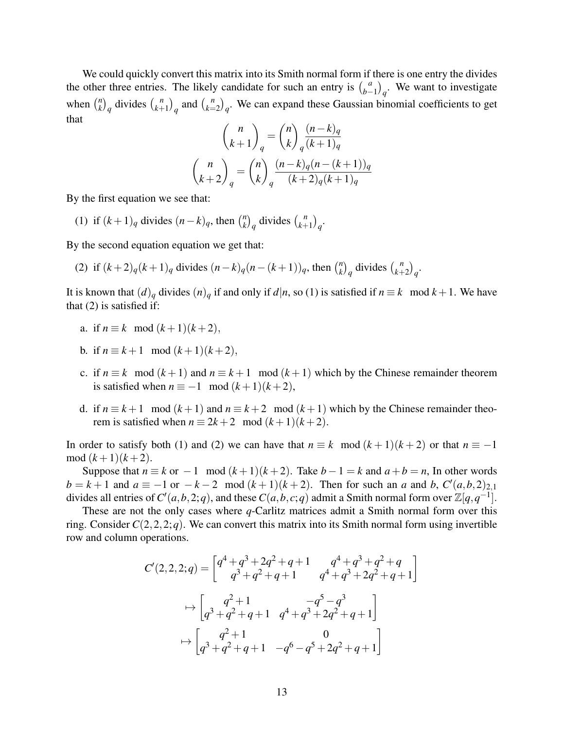We could quickly convert this matrix into its Smith normal form if there is one entry the divides the other three entries. The likely candidate for such an entry is  $\int_{b-1}^{a}$  $\binom{a}{b-1}_q$ . We want to investigate when  $\binom{n}{k}$  $\binom{n}{k}_q$  divides  $\binom{n}{k+1}$  $\binom{n}{k+1}$ <sup>*q*</sup> and  $\binom{n}{k}$  $\binom{n}{k=2}_q$ . We can expand these Gaussian binomial coefficients to get that

$$
\binom{n}{k+1}_q = \binom{n}{k}_q \frac{(n-k)_q}{(k+1)_q}
$$

$$
\binom{n}{k+2}_q = \binom{n}{k}_q \frac{(n-k)_q(n-(k+1))_q}{(k+2)_q(k+1)_q}
$$

By the first equation we see that:

(1) if  $(k+1)q$  divides  $(n-k)q$ , then  $\binom{n}{k}$  $\binom{n}{k}_q$  divides  $\binom{n}{k+1}$  $\binom{n}{k+1}$ <sub>q</sub>.

By the second equation equation we get that:

(2) if 
$$
(k+2)_q(k+1)_q
$$
 divides  $(n-k)_q(n-(k+1))_q$ , then  $\binom{n}{k}_q$  divides  $\binom{n}{k+2}_q$ .

It is known that  $(d)_q$  divides  $(n)_q$  if and only if  $d|n$ , so (1) is satisfied if  $n \equiv k \mod k + 1$ . We have that (2) is satisfied if:

- a. if  $n \equiv k \mod (k+1)(k+2)$ ,
- b. if  $n \equiv k+1 \mod (k+1)(k+2)$ ,
- c. if  $n \equiv k \mod (k+1)$  and  $n \equiv k+1 \mod (k+1)$  which by the Chinese remainder theorem is satisfied when  $n \equiv -1 \mod (k+1)(k+2)$ ,
- d. if  $n \equiv k+1 \mod (k+1)$  and  $n \equiv k+2 \mod (k+1)$  which by the Chinese remainder theorem is satisfied when  $n \equiv 2k+2 \mod (k+1)(k+2)$ .

In order to satisfy both (1) and (2) we can have that  $n \equiv k \mod (k+1)(k+2)$  or that  $n \equiv -1$ mod  $(k+1)(k+2)$ .

Suppose that  $n \equiv k$  or  $-1$  mod  $(k+1)(k+2)$ . Take  $b-1 = k$  and  $a+b = n$ , In other words  $b = k + 1$  and  $a \equiv -1$  or  $-k - 2$  mod  $(k + 1)(k + 2)$ . Then for such an *a* and *b*,  $C'(a, b, 2)_{2,1}$ divides all entries of  $C'(a,b,2;q)$ , and these  $C(a,b,c;q)$  admit a Smith normal form over  $\mathbb{Z}[q,q^{-1}]$ .

These are not the only cases where *q*-Carlitz matrices admit a Smith normal form over this ring. Consider  $C(2,2,2;q)$ . We can convert this matrix into its Smith normal form using invertible row and column operations.

$$
C'(2,2,2;q) = \begin{bmatrix} q^4 + q^3 + 2q^2 + q + 1 & q^4 + q^3 + q^2 + q \\ q^3 + q^2 + q + 1 & q^4 + q^3 + 2q^2 + q + 1 \end{bmatrix}
$$
  
\n
$$
\mapsto \begin{bmatrix} q^2 + 1 & -q^5 - q^3 \\ q^3 + q^2 + q + 1 & q^4 + q^3 + 2q^2 + q + 1 \end{bmatrix}
$$
  
\n
$$
\mapsto \begin{bmatrix} q^2 + 1 & 0 \\ q^3 + q^2 + q + 1 & -q^6 - q^5 + 2q^2 + q + 1 \end{bmatrix}
$$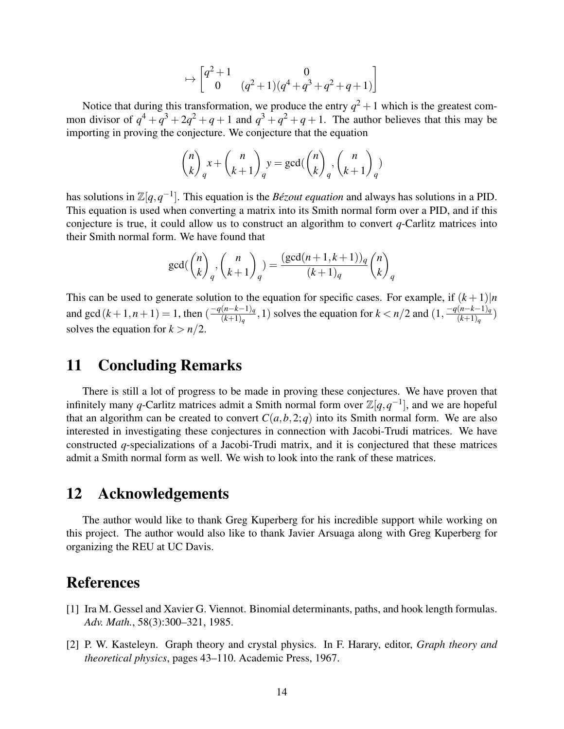$$
\mapsto \begin{bmatrix} q^2 + 1 & 0\\ 0 & (q^2 + 1)(q^4 + q^3 + q^2 + q + 1) \end{bmatrix}
$$

Notice that during this transformation, we produce the entry  $q^2 + 1$  which is the greatest common divisor of  $q^4 + q^3 + 2q^2 + q + 1$  and  $q^3 + q^2 + q + 1$ . The author believes that this may be importing in proving the conjecture. We conjecture that the equation

$$
\binom{n}{k}_q x + \binom{n}{k+1}_q y = \gcd(\binom{n}{k}_q, \binom{n}{k+1}_q)
$$

has solutions in  $\mathbb{Z}[q, q^{-1}]$ . This equation is the *Bézout equation* and always has solutions in a PID. This equation is used when converting a matrix into its Smith normal form over a PID, and if this conjecture is true, it could allow us to construct an algorithm to convert *q*-Carlitz matrices into their Smith normal form. We have found that

$$
\gcd({\binom{n}{k}}_q, {\binom{n}{k+1}}_q) = \frac{(\gcd(n+1, k+1))_q}{(k+1)_q} {\binom{n}{k}}_q
$$

This can be used to generate solution to the equation for specific cases. For example, if  $(k+1)|n$ and gcd  $(k+1, n+1) = 1$ , then  $\left(\frac{-q(n-k-1)}{(k+1)}\right)$  $\frac{(n-k-1)q}{(k+1)q}$ , 1) solves the equation for  $k < n/2$  and  $\frac{(1) - q(n-k-1)q}{(k+1)q}$  $\frac{(n-\kappa-1)q}{(k+1)q}$ solves the equation for  $k > n/2$ .

#### 11 Concluding Remarks

There is still a lot of progress to be made in proving these conjectures. We have proven that infinitely many *q*-Carlitz matrices admit a Smith normal form over  $\mathbb{Z}[q, q^{-1}]$ , and we are hopeful that an algorithm can be created to convert  $C(a, b, 2; q)$  into its Smith normal form. We are also interested in investigating these conjectures in connection with Jacobi-Trudi matrices. We have constructed *q*-specializations of a Jacobi-Trudi matrix, and it is conjectured that these matrices admit a Smith normal form as well. We wish to look into the rank of these matrices.

#### 12 Acknowledgements

The author would like to thank Greg Kuperberg for his incredible support while working on this project. The author would also like to thank Javier Arsuaga along with Greg Kuperberg for organizing the REU at UC Davis.

#### References

- [1] Ira M. Gessel and Xavier G. Viennot. Binomial determinants, paths, and hook length formulas. *Adv. Math.*, 58(3):300–321, 1985.
- [2] P. W. Kasteleyn. Graph theory and crystal physics. In F. Harary, editor, *Graph theory and theoretical physics*, pages 43–110. Academic Press, 1967.